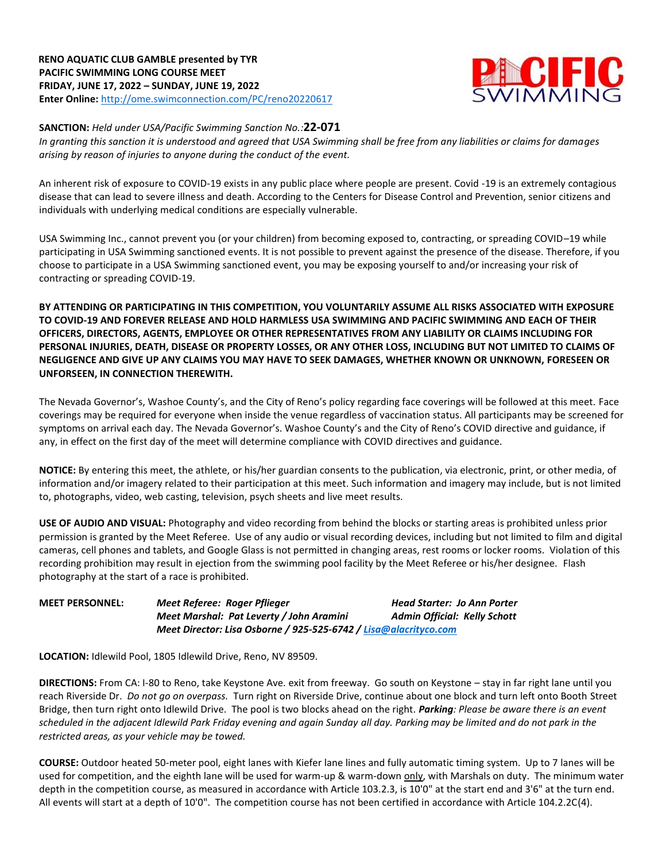

## **SANCTION:** *Held under USA/Pacific Swimming Sanction No.:***22-071**

*In granting this sanction it is understood and agreed that USA Swimming shall be free from any liabilities or claims for damages arising by reason of injuries to anyone during the conduct of the event.*

An inherent risk of exposure to COVID-19 exists in any public place where people are present. Covid -19 is an extremely contagious disease that can lead to severe illness and death. According to the Centers for Disease Control and Prevention, senior citizens and individuals with underlying medical conditions are especially vulnerable.

USA Swimming Inc., cannot prevent you (or your children) from becoming exposed to, contracting, or spreading COVID–19 while participating in USA Swimming sanctioned events. It is not possible to prevent against the presence of the disease. Therefore, if you choose to participate in a USA Swimming sanctioned event, you may be exposing yourself to and/or increasing your risk of contracting or spreading COVID-19.

**BY ATTENDING OR PARTICIPATING IN THIS COMPETITION, YOU VOLUNTARILY ASSUME ALL RISKS ASSOCIATED WITH EXPOSURE TO COVID-19 AND FOREVER RELEASE AND HOLD HARMLESS USA SWIMMING AND PACIFIC SWIMMING AND EACH OF THEIR OFFICERS, DIRECTORS, AGENTS, EMPLOYEE OR OTHER REPRESENTATIVES FROM ANY LIABILITY OR CLAIMS INCLUDING FOR PERSONAL INJURIES, DEATH, DISEASE OR PROPERTY LOSSES, OR ANY OTHER LOSS, INCLUDING BUT NOT LIMITED TO CLAIMS OF NEGLIGENCE AND GIVE UP ANY CLAIMS YOU MAY HAVE TO SEEK DAMAGES, WHETHER KNOWN OR UNKNOWN, FORESEEN OR UNFORSEEN, IN CONNECTION THEREWITH.** 

The Nevada Governor's, Washoe County's, and the City of Reno's policy regarding face coverings will be followed at this meet. Face coverings may be required for everyone when inside the venue regardless of vaccination status. All participants may be screened for symptoms on arrival each day. The Nevada Governor's. Washoe County's and the City of Reno's COVID directive and guidance, if any, in effect on the first day of the meet will determine compliance with COVID directives and guidance.

**NOTICE:** By entering this meet, the athlete, or his/her guardian consents to the publication, via electronic, print, or other media, of information and/or imagery related to their participation at this meet. Such information and imagery may include, but is not limited to, photographs, video, web casting, television, psych sheets and live meet results.

**USE OF AUDIO AND VISUAL:** Photography and video recording from behind the blocks or starting areas is prohibited unless prior permission is granted by the Meet Referee. Use of any audio or visual recording devices, including but not limited to film and digital cameras, cell phones and tablets, and Google Glass is not permitted in changing areas, rest rooms or locker rooms. Violation of this recording prohibition may result in ejection from the swimming pool facility by the Meet Referee or his/her designee. Flash photography at the start of a race is prohibited.

**MEET PERSONNEL:** *Meet Referee: Roger Pflieger Head Starter: Jo Ann Porter Meet Marshal: Pat Leverty / John Aramini Admin Official: Kelly Schott Meet Director: Lisa Osborne / 925-525-6742 [/ Lisa@alacrityco.com](mailto:Lisa@alacrityco.com)*

**LOCATION:** Idlewild Pool, 1805 Idlewild Drive, Reno, NV 89509.

**DIRECTIONS:** From CA: I-80 to Reno, take Keystone Ave. exit from freeway. Go south on Keystone – stay in far right lane until you reach Riverside Dr. *Do not go on overpass.* Turn right on Riverside Drive, continue about one block and turn left onto Booth Street Bridge, then turn right onto Idlewild Drive. The pool is two blocks ahead on the right. *Parking: Please be aware there is an event scheduled in the adjacent Idlewild Park Friday evening and again Sunday all day. Parking may be limited and do not park in the restricted areas, as your vehicle may be towed.*

**COURSE:** Outdoor heated 50-meter pool, eight lanes with Kiefer lane lines and fully automatic timing system. Up to 7 lanes will be used for competition, and the eighth lane will be used for warm-up & warm-down only, with Marshals on duty. The minimum water depth in the competition course, as measured in accordance with Article 103.2.3, is 10'0" at the start end and 3'6" at the turn end. All events will start at a depth of 10'0". The competition course has not been certified in accordance with Article 104.2.2C(4).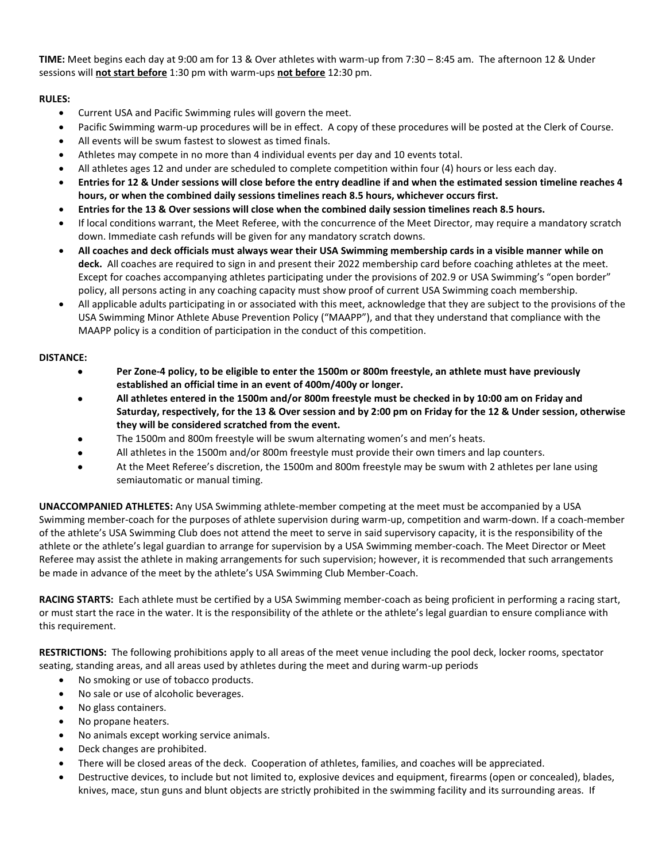**TIME:** Meet begins each day at 9:00 am for 13 & Over athletes with warm-up from 7:30 – 8:45 am. The afternoon 12 & Under sessions will **not start before** 1:30 pm with warm-ups **not before** 12:30 pm.

## **RULES:**

- Current USA and Pacific Swimming rules will govern the meet.
- Pacific Swimming warm-up procedures will be in effect. A copy of these procedures will be posted at the Clerk of Course.
- All events will be swum fastest to slowest as timed finals.
- Athletes may compete in no more than 4 individual events per day and 10 events total.
- All athletes ages 12 and under are scheduled to complete competition within four (4) hours or less each day.
- **Entries for 12 & Under sessions will close before the entry deadline if and when the estimated session timeline reaches 4 hours, or when the combined daily sessions timelines reach 8.5 hours, whichever occurs first.**
- **Entries for the 13 & Over sessions will close when the combined daily session timelines reach 8.5 hours.**
- If local conditions warrant, the Meet Referee, with the concurrence of the Meet Director, may require a mandatory scratch down. Immediate cash refunds will be given for any mandatory scratch downs.
- **All coaches and deck officials must always wear their USA Swimming membership cards in a visible manner while on deck.** All coaches are required to sign in and present their 2022 membership card before coaching athletes at the meet. Except for coaches accompanying athletes participating under the provisions of 202.9 or USA Swimming's "open border" policy, all persons acting in any coaching capacity must show proof of current USA Swimming coach membership.
- All applicable adults participating in or associated with this meet, acknowledge that they are subject to the provisions of the USA Swimming Minor Athlete Abuse Prevention Policy ("MAAPP"), and that they understand that compliance with the MAAPP policy is a condition of participation in the conduct of this competition.

## **DISTANCE:**

- **Per Zone-4 policy, to be eligible to enter the 1500m or 800m freestyle, an athlete must have previously established an official time in an event of 400m/400y or longer.**
- **All athletes entered in the 1500m and/or 800m freestyle must be checked in by 10:00 am on Friday and Saturday, respectively, for the 13 & Over session and by 2:00 pm on Friday for the 12 & Under session, otherwise they will be considered scratched from the event.**
- The 1500m and 800m freestyle will be swum alternating women's and men's heats.
- All athletes in the 1500m and/or 800m freestyle must provide their own timers and lap counters.
- At the Meet Referee's discretion, the 1500m and 800m freestyle may be swum with 2 athletes per lane using semiautomatic or manual timing.

**UNACCOMPANIED ATHLETES:** Any USA Swimming athlete-member competing at the meet must be accompanied by a USA Swimming member-coach for the purposes of athlete supervision during warm-up, competition and warm-down. If a coach-member of the athlete's USA Swimming Club does not attend the meet to serve in said supervisory capacity, it is the responsibility of the athlete or the athlete's legal guardian to arrange for supervision by a USA Swimming member-coach. The Meet Director or Meet Referee may assist the athlete in making arrangements for such supervision; however, it is recommended that such arrangements be made in advance of the meet by the athlete's USA Swimming Club Member-Coach.

**RACING STARTS:** Each athlete must be certified by a USA Swimming member-coach as being proficient in performing a racing start, or must start the race in the water. It is the responsibility of the athlete or the athlete's legal guardian to ensure compliance with this requirement.

**RESTRICTIONS:** The following prohibitions apply to all areas of the meet venue including the pool deck, locker rooms, spectator seating, standing areas, and all areas used by athletes during the meet and during warm-up periods

- No smoking or use of tobacco products.
- No sale or use of alcoholic beverages.
- No glass containers.
- No propane heaters.
- No animals except working service animals.
- Deck changes are prohibited.
- There will be closed areas of the deck. Cooperation of athletes, families, and coaches will be appreciated.
- Destructive devices, to include but not limited to, explosive devices and equipment, firearms (open or concealed), blades, knives, mace, stun guns and blunt objects are strictly prohibited in the swimming facility and its surrounding areas. If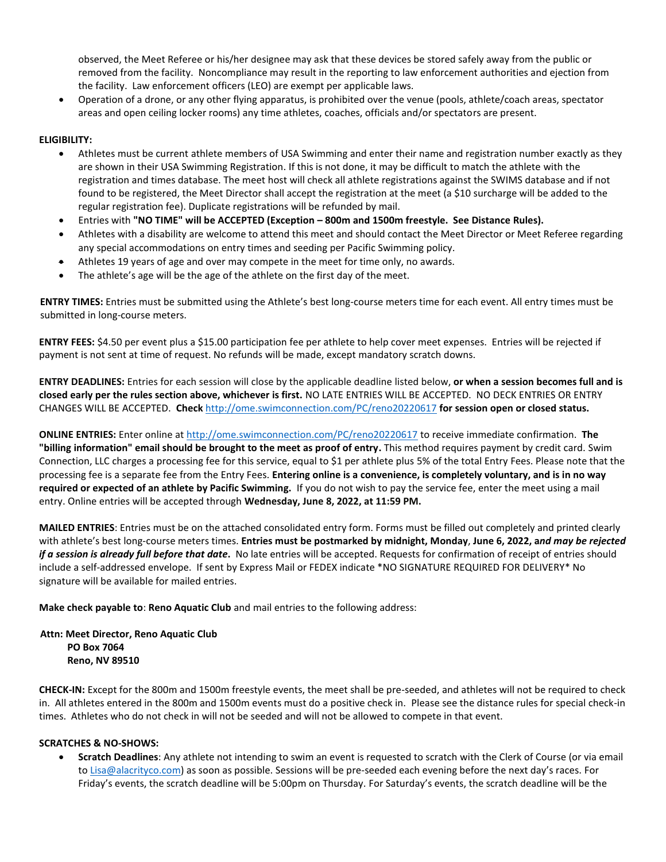observed, the Meet Referee or his/her designee may ask that these devices be stored safely away from the public or removed from the facility. Noncompliance may result in the reporting to law enforcement authorities and ejection from the facility. Law enforcement officers (LEO) are exempt per applicable laws.

 Operation of a drone, or any other flying apparatus, is prohibited over the venue (pools, athlete/coach areas, spectator areas and open ceiling locker rooms) any time athletes, coaches, officials and/or spectators are present.

## **ELIGIBILITY:**

- Athletes must be current athlete members of USA Swimming and enter their name and registration number exactly as they are shown in their USA Swimming Registration. If this is not done, it may be difficult to match the athlete with the registration and times database. The meet host will check all athlete registrations against the SWIMS database and if not found to be registered, the Meet Director shall accept the registration at the meet (a \$10 surcharge will be added to the regular registration fee). Duplicate registrations will be refunded by mail.
- Entries with **"NO TIME" will be ACCEPTED (Exception – 800m and 1500m freestyle. See Distance Rules).**
- Athletes with a disability are welcome to attend this meet and should contact the Meet Director or Meet Referee regarding any special accommodations on entry times and seeding per Pacific Swimming policy.
- Athletes 19 years of age and over may compete in the meet for time only, no awards.
- The athlete's age will be the age of the athlete on the first day of the meet.

**ENTRY TIMES:** Entries must be submitted using the Athlete's best long-course meters time for each event. All entry times must be submitted in long-course meters.

**ENTRY FEES:** \$4.50 per event plus a \$15.00 participation fee per athlete to help cover meet expenses. Entries will be rejected if payment is not sent at time of request. No refunds will be made, except mandatory scratch downs.

**ENTRY DEADLINES:** Entries for each session will close by the applicable deadline listed below, **or when a session becomes full and is closed early per the rules section above, whichever is first.** NO LATE ENTRIES WILL BE ACCEPTED. NO DECK ENTRIES OR ENTRY CHANGES WILL BE ACCEPTED. **Check** <http://ome.swimconnection.com/PC/reno20220617> **for session open or closed status.**

**ONLINE ENTRIES:** Enter online at <http://ome.swimconnection.com/PC/reno20220617> to receive immediate confirmation. **The "billing information" email should be brought to the meet as proof of entry.** This method requires payment by credit card. Swim Connection, LLC charges a processing fee for this service, equal to \$1 per athlete plus 5% of the total Entry Fees. Please note that the processing fee is a separate fee from the Entry Fees. **Entering online is a convenience, is completely voluntary, and is in no way required or expected of an athlete by Pacific Swimming.** If you do not wish to pay the service fee, enter the meet using a mail entry. Online entries will be accepted through **Wednesday, June 8, 2022, at 11:59 PM.**

**MAILED ENTRIES**: Entries must be on the attached consolidated entry form. Forms must be filled out completely and printed clearly with athlete's best long-course meters times. **Entries must be postmarked by midnight, Monday**, **June 6, 2022, a***nd may be rejected if a session is already full before that date***.** No late entries will be accepted. Requests for confirmation of receipt of entries should include a self-addressed envelope. If sent by Express Mail or FEDEX indicate \*NO SIGNATURE REQUIRED FOR DELIVERY\* No signature will be available for mailed entries.

**Make check payable to**: **Reno Aquatic Club** and mail entries to the following address:

**Attn: Meet Director, Reno Aquatic Club PO Box 7064 Reno, NV 89510**

**CHECK-IN:** Except for the 800m and 1500m freestyle events, the meet shall be pre-seeded, and athletes will not be required to check in. All athletes entered in the 800m and 1500m events must do a positive check in.Please see the distance rules for special check-in times. Athletes who do not check in will not be seeded and will not be allowed to compete in that event.

### **SCRATCHES & NO-SHOWS:**

 **Scratch Deadlines**: Any athlete not intending to swim an event is requested to scratch with the Clerk of Course (or via email to [Lisa@alacrityco.com\)](mailto:Lisa@alacrityco.com) as soon as possible. Sessions will be pre-seeded each evening before the next day's races. For Friday's events, the scratch deadline will be 5:00pm on Thursday. For Saturday's events, the scratch deadline will be the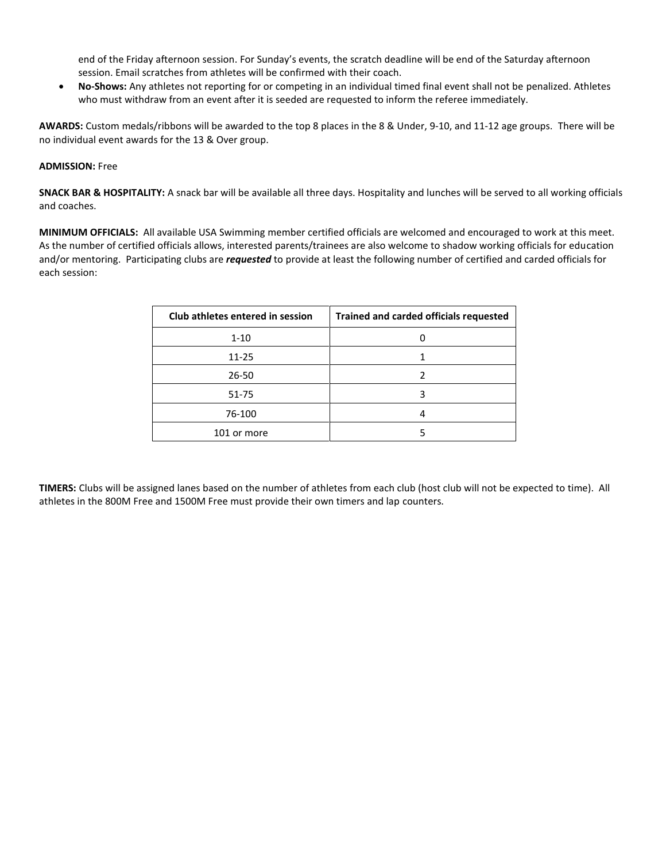end of the Friday afternoon session. For Sunday's events, the scratch deadline will be end of the Saturday afternoon session. Email scratches from athletes will be confirmed with their coach.

 **No-Shows:** Any athletes not reporting for or competing in an individual timed final event shall not be penalized. Athletes who must withdraw from an event after it is seeded are requested to inform the referee immediately.

**AWARDS:** Custom medals/ribbons will be awarded to the top 8 places in the 8 & Under, 9-10, and 11-12 age groups. There will be no individual event awards for the 13 & Over group.

### **ADMISSION:** Free

**SNACK BAR & HOSPITALITY:** A snack bar will be available all three days. Hospitality and lunches will be served to all working officials and coaches.

**MINIMUM OFFICIALS:** All available USA Swimming member certified officials are welcomed and encouraged to work at this meet. As the number of certified officials allows, interested parents/trainees are also welcome to shadow working officials for education and/or mentoring. Participating clubs are *requested* to provide at least the following number of certified and carded officials for each session:

| Club athletes entered in session | Trained and carded officials requested |
|----------------------------------|----------------------------------------|
| $1 - 10$                         |                                        |
| $11 - 25$                        |                                        |
| 26-50                            |                                        |
| $51 - 75$                        |                                        |
| 76-100                           |                                        |
| 101 or more                      |                                        |

**TIMERS:** Clubs will be assigned lanes based on the number of athletes from each club (host club will not be expected to time). All athletes in the 800M Free and 1500M Free must provide their own timers and lap counters.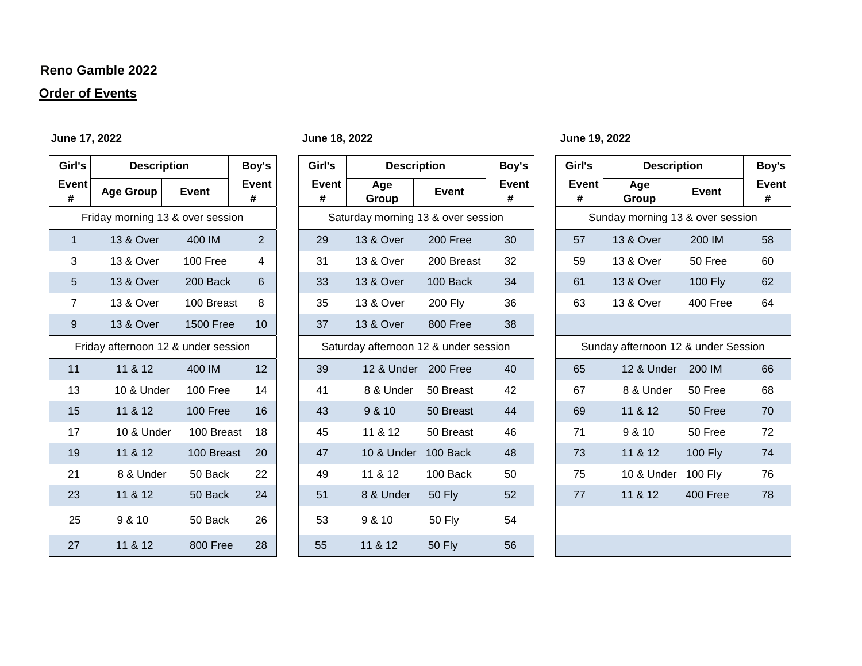## **Reno Gamble 2022**

# **Order of Events**

## **June 17, 2022 June 18, 2022 June 19, 2022**

| Girl's                           | <b>Description</b>                       | Boy's         |    |  |  |  |  |
|----------------------------------|------------------------------------------|---------------|----|--|--|--|--|
| <b>Event</b><br>#                | <b>Age Group</b>                         | <b>Event</b>  |    |  |  |  |  |
| Friday morning 13 & over session |                                          |               |    |  |  |  |  |
| 1                                | <b>13 &amp; Over</b>                     | 400 IM        |    |  |  |  |  |
| 3                                | 13 & Over                                | 100 Free      |    |  |  |  |  |
| 5                                | <b>13 &amp; Over</b>                     | 200 Back<br>6 |    |  |  |  |  |
| $\overline{7}$                   | <b>13 &amp; Over</b>                     | 100 Breast    | 8  |  |  |  |  |
| 9                                | <b>13 &amp; Over</b><br><b>1500 Free</b> |               |    |  |  |  |  |
|                                  | Friday afternoon 12 & under session      |               |    |  |  |  |  |
| 11                               | 11 & 12                                  | 400 IM        | 12 |  |  |  |  |
| 13                               | 10 & Under                               | 100 Free      | 14 |  |  |  |  |
| 15                               | 11 & 12<br>100 Free                      |               | 16 |  |  |  |  |
| 17                               | 10 & Under                               | 100 Breast    | 18 |  |  |  |  |
| 19                               | 11 & 12                                  | 100 Breast    | 20 |  |  |  |  |
| 21                               | 8 & Under                                | 50 Back       | 22 |  |  |  |  |
| 23                               | 11 & 12                                  | 50 Back       | 24 |  |  |  |  |
| 25                               | 9 & 10                                   | 50 Back       | 26 |  |  |  |  |
| 27                               | 11 & 12                                  | 800 Free      | 28 |  |  |  |  |

| Girl's                           | <b>Description</b>                  |                  |                   |                                    | Boy's                                 | Girl's         | <b>Description</b> |                                  | Boy's                               | Girl's         | <b>Description</b> |  | Boy's |
|----------------------------------|-------------------------------------|------------------|-------------------|------------------------------------|---------------------------------------|----------------|--------------------|----------------------------------|-------------------------------------|----------------|--------------------|--|-------|
| Event<br>#                       | <b>Age Group</b>                    | <b>Event</b>     | <b>Event</b><br># | <b>Event</b><br>#                  | Age<br>Group                          | Event          | Event<br>#         | Event<br>#                       | Age<br>Group                        | <b>Event</b>   | <b>Event</b><br>#  |  |       |
| Friday morning 13 & over session |                                     |                  |                   | Saturday morning 13 & over session |                                       |                |                    | Sunday morning 13 & over session |                                     |                |                    |  |       |
| $\mathbf{1}$                     | 13 & Over                           | 400 IM           | $\overline{2}$    | 29                                 | 13 & Over                             | 200 Free       | 30                 | 57                               | 13 & Over                           | 200 IM         | 58                 |  |       |
| 3                                | 13 & Over                           | 100 Free         | $\overline{4}$    | 31                                 | 13 & Over                             | 200 Breast     | 32                 | 59                               | 13 & Over                           | 50 Free        | 60                 |  |       |
| 5                                | 13 & Over                           | 200 Back         | 6                 | 33                                 | 13 & Over                             | 100 Back       | 34                 | 61                               | 13 & Over                           | <b>100 Fly</b> | 62                 |  |       |
| $\overline{7}$                   | 13 & Over                           | 100 Breast       | 8                 | 35                                 | 13 & Over                             | <b>200 Flv</b> | 36                 | 63                               | 13 & Over                           | 400 Free       | 64                 |  |       |
| $9\,$                            | 13 & Over                           | <b>1500 Free</b> | 10                | 37                                 | 13 & Over                             | 800 Free       | 38                 |                                  |                                     |                |                    |  |       |
|                                  | Friday afternoon 12 & under session |                  |                   |                                    | Saturday afternoon 12 & under session |                |                    |                                  | Sunday afternoon 12 & under Session |                |                    |  |       |
| 11                               | 11 & 12                             | 400 IM           | 12                | 39                                 | 12 & Under 200 Free                   |                | 40                 | 65                               | 12 & Under                          | 200 IM         | 66                 |  |       |
| 13                               | 10 & Under                          | 100 Free         | 14                | 41                                 | 8 & Under                             | 50 Breast      | 42                 | 67                               | 8 & Under                           | 50 Free        | 68                 |  |       |
| 15                               | 11 & 12                             | 100 Free         | 16                | 43                                 | 9 & 10                                | 50 Breast      | 44                 | 69                               | 11 & 12                             | 50 Free        | 70                 |  |       |
| 17                               | 10 & Under                          | 100 Breast       | 18                | 45                                 | 11 & 12                               | 50 Breast      | 46                 | 71                               | 9 & 10                              | 50 Free        | 72                 |  |       |
| 19                               | 11 & 12                             | 100 Breast       | 20                | 47                                 | 10 & Under                            | 100 Back       | 48                 | 73                               | 11 & 12                             | <b>100 Fly</b> | 74                 |  |       |
| 21                               | 8 & Under                           | 50 Back          | 22                | 49                                 | 11 & 12                               | 100 Back       | 50                 | 75                               | 10 & Under                          | 100 Fly        | 76                 |  |       |
| 23                               | 11 & 12                             | 50 Back          | 24                | 51                                 | 8 & Under                             | <b>50 Fly</b>  | 52                 | 77                               | 11 & 12                             | 400 Free       | 78                 |  |       |
| 25                               | 9 & 10                              | 50 Back          | 26                | 53                                 | 9 & 10                                | <b>50 Fly</b>  | 54                 |                                  |                                     |                |                    |  |       |
| 27                               | 11 & 12                             | 800 Free         | 28                | 55                                 | 11 & 12                               | <b>50 Fly</b>  | 56                 |                                  |                                     |                |                    |  |       |

| Girl's                           | <b>Description</b>                  | Boy's          |            |  |  |  |  |
|----------------------------------|-------------------------------------|----------------|------------|--|--|--|--|
| <b>Event</b><br>#                | Age<br>Group                        | Event          | Event<br># |  |  |  |  |
| Sunday morning 13 & over session |                                     |                |            |  |  |  |  |
| 57                               | <b>13 &amp; Over</b>                | 200 IM         | 58         |  |  |  |  |
| 59                               | 13 & Over                           | 50 Free        | 60         |  |  |  |  |
| 61                               | <b>13 &amp; Over</b>                | <b>100 Fly</b> | 62         |  |  |  |  |
| 63                               | <b>13 &amp; Over</b>                | 400 Free       | 64         |  |  |  |  |
|                                  |                                     |                |            |  |  |  |  |
|                                  | Sunday afternoon 12 & under Session |                |            |  |  |  |  |
| 65                               | 12 & Under 200 IM                   |                | 66         |  |  |  |  |
| 67                               | 8 & Under                           | 50 Free        | 68         |  |  |  |  |
| 69                               | 11 & 12                             | 50 Free        | 70         |  |  |  |  |
| 71                               | 9 & 10<br>50 Free                   |                | 72         |  |  |  |  |
| 73                               | 11 & 12                             | <b>100 Fly</b> | 74         |  |  |  |  |
| 75                               | 10 & Under                          | <b>100 Fly</b> | 76         |  |  |  |  |
| 77                               | 11 & 12                             | 400 Free       | 78         |  |  |  |  |
|                                  |                                     |                |            |  |  |  |  |
|                                  |                                     |                |            |  |  |  |  |